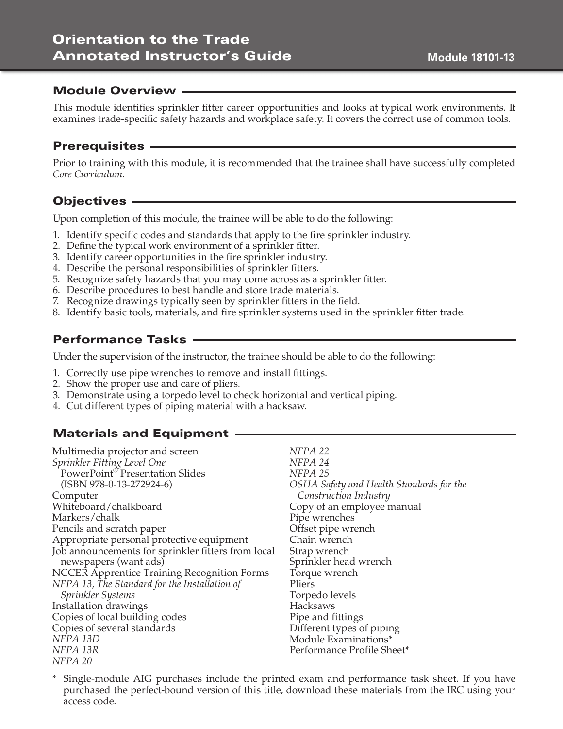### Module Overview

This module identifies sprinkler fitter career opportunities and looks at typical work environments. It examines trade-specific safety hazards and workplace safety. It covers the correct use of common tools.

### Prerequisites

Prior to training with this module, it is recommended that the trainee shall have successfully completed *Core Curriculum.* 

# Objectives

Upon completion of this module, the trainee will be able to do the following:

- 1. Identify specific codes and standards that apply to the fire sprinkler industry.
- 2. Define the typical work environment of a sprinkler fitter.
- 3. Identify career opportunities in the fire sprinkler industry.
- 4. Describe the personal responsibilities of sprinkler fitters.
- 5. Recognize safety hazards that you may come across as a sprinkler fitter.
- 6. Describe procedures to best handle and store trade materials.
- 7. Recognize drawings typically seen by sprinkler fitters in the field.
- 8. Identify basic tools, materials, and fire sprinkler systems used in the sprinkler fitter trade.

### Performance Tasks

Under the supervision of the instructor, the trainee should be able to do the following:

- 1. Correctly use pipe wrenches to remove and install fittings.
- 2. Show the proper use and care of pliers.
- 3. Demonstrate using a torpedo level to check horizontal and vertical piping.
- 4. Cut different types of piping material with a hacksaw.

# Materials and Equipment

Multimedia projector and screen *Sprinkler Fitting Level One* PowerPoint® Presentation Slides (ISBN 978-0-13-272924-6) Computer Whiteboard/chalkboard Markers/chalk Pencils and scratch paper Appropriate personal protective equipment Job announcements for sprinkler fitters from local newspapers (want ads) NCCER Apprentice Training Recognition Forms *NFPA 13, The Standard for the Installation of Sprinkler Systems* Installation drawings Copies of local building codes Copies of several standards *NFPA 13D NFPA 13R NFPA 20*

*NFPA 22 NFPA 24 NFPA 25 OSHA Safety and Health Standards for the Construction Industry* Copy of an employee manual Pipe wrenches Offset pipe wrench Chain wrench Strap wrench Sprinkler head wrench Torque wrench Pliers Torpedo levels Hacksaws Pipe and fittings Different types of piping Module Examinations\* Performance Profile Sheet\*

\* Single-module AIG purchases include the printed exam and performance task sheet. If you have purchased the perfect-bound version of this title, download these materials from the IRC using your access code.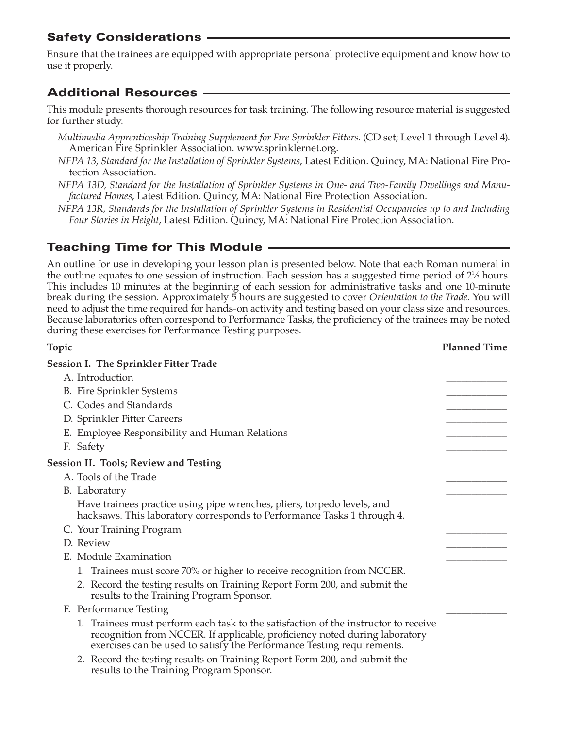# Safety Considerations

Ensure that the trainees are equipped with appropriate personal protective equipment and know how to use it properly.

# Additional Resources

This module presents thorough resources for task training. The following resource material is suggested for further study.

- *Multimedia Apprenticeship Training Supplement for Fire Sprinkler Fitters*. (CD set; Level 1 through Level 4). American Fire Sprinkler Association. www.sprinklernet.org.
- *NFPA 13, Standard for the Installation of Sprinkler Systems*, Latest Edition. Quincy, MA: National Fire Protection Association.
- *NFPA 13D, Standard for the Installation of Sprinkler Systems in One- and Two-Family Dwellings and Manufactured Homes*, Latest Edition. Quincy, MA: National Fire Protection Association.

*NFPA 13R, Standards for the Installation of Sprinkler Systems in Residential Occupancies up to and Including Four Stories in Height*, Latest Edition. Quincy, MA: National Fire Protection Association.

# Teaching Time for This Module

An outline for use in developing your lesson plan is presented below. Note that each Roman numeral in the outline equates to one session of instruction. Each session has a suggested time period of 2<sup>1</sup>/<sub>2</sub> hours. This includes 10 minutes at the beginning of each session for administrative tasks and one 10-minute break during the session. Approximately 5 hours are suggested to cover *Orientation to the Trade*. You will need to adjust the time required for hands-on activity and testing based on your class size and resources. Because laboratories often correspond to Performance Tasks, the proficiency of the trainees may be noted during these exercises for Performance Testing purposes.

| Topic                                                                                                                                                                                                                                       | <b>Planned Time</b> |
|---------------------------------------------------------------------------------------------------------------------------------------------------------------------------------------------------------------------------------------------|---------------------|
| <b>Session I. The Sprinkler Fitter Trade</b>                                                                                                                                                                                                |                     |
| A. Introduction                                                                                                                                                                                                                             |                     |
| <b>B.</b> Fire Sprinkler Systems                                                                                                                                                                                                            |                     |
| C. Codes and Standards                                                                                                                                                                                                                      |                     |
| D. Sprinkler Fitter Careers                                                                                                                                                                                                                 |                     |
| E. Employee Responsibility and Human Relations                                                                                                                                                                                              |                     |
| F. Safety                                                                                                                                                                                                                                   |                     |
| <b>Session II. Tools; Review and Testing</b>                                                                                                                                                                                                |                     |
| A. Tools of the Trade                                                                                                                                                                                                                       |                     |
| B. Laboratory                                                                                                                                                                                                                               |                     |
| Have trainees practice using pipe wrenches, pliers, torpedo levels, and<br>hacksaws. This laboratory corresponds to Performance Tasks 1 through 4.                                                                                          |                     |
| C. Your Training Program                                                                                                                                                                                                                    |                     |
| D. Review                                                                                                                                                                                                                                   |                     |
| E. Module Examination                                                                                                                                                                                                                       |                     |
| 1. Trainees must score 70% or higher to receive recognition from NCCER.                                                                                                                                                                     |                     |
| 2. Record the testing results on Training Report Form 200, and submit the<br>results to the Training Program Sponsor.                                                                                                                       |                     |
| F. Performance Testing                                                                                                                                                                                                                      |                     |
| 1. Trainees must perform each task to the satisfaction of the instructor to receive<br>recognition from NCCER. If applicable, proficiency noted during laboratory<br>exercises can be used to satisfy the Performance Testing requirements. |                     |
| 2. Record the testing results on Training Report Form 200, and submit the<br>results to the Training Program Sponsor.                                                                                                                       |                     |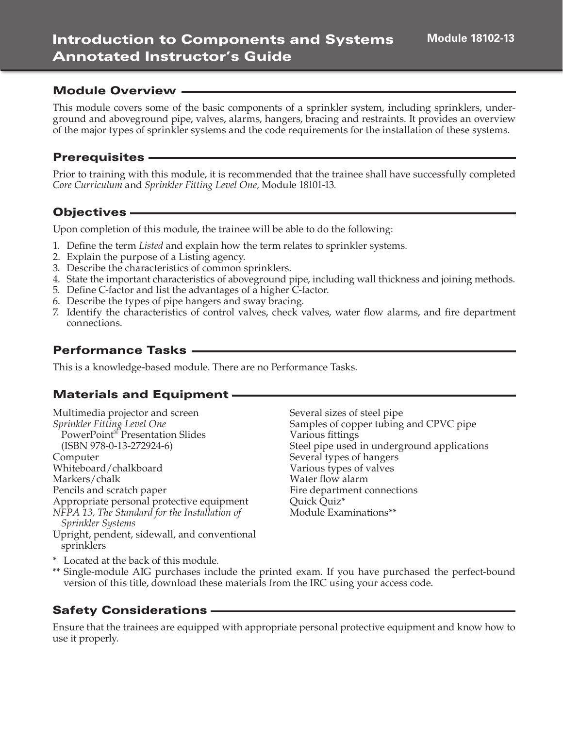#### Module Overview

This module covers some of the basic components of a sprinkler system, including sprinklers, underground and aboveground pipe, valves, alarms, hangers, bracing and restraints. It provides an overview of the major types of sprinkler systems and the code requirements for the installation of these systems.

#### Prerequisites

Prior to training with this module, it is recommended that the trainee shall have successfully completed *Core Curriculum* and *Sprinkler Fitting Level One,* Module 18101-13*.* 

#### Objectives

Upon completion of this module, the trainee will be able to do the following:

- 1. Define the term *Listed* and explain how the term relates to sprinkler systems.
- 2. Explain the purpose of a Listing agency.
- 3. Describe the characteristics of common sprinklers.
- 4. State the important characteristics of aboveground pipe, including wall thickness and joining methods.
- 5. Define C-factor and list the advantages of a higher C-factor.
- 6. Describe the types of pipe hangers and sway bracing.
- 7. Identify the characteristics of control valves, check valves, water flow alarms, and fire department connections.

#### Performance Tasks

This is a knowledge-based module. There are no Performance Tasks.

#### Materials and Equipment

Multimedia projector and screen *Sprinkler Fitting Level One* PowerPoint® Presentation Slides (ISBN 978-0-13-272924-6) Computer Whiteboard/chalkboard Markers/chalk Pencils and scratch paper Appropriate personal protective equipment *NFPA 13, The Standard for the Installation of Sprinkler Systems* Upright, pendent, sidewall, and conventional sprinklers

Several sizes of steel pipe Samples of copper tubing and CPVC pipe Various fittings Steel pipe used in underground applications Several types of hangers Various types of valves Water flow alarm Fire department connections Quick Quiz\* Module Examinations\*\*

\* Located at the back of this module.

\*\* Single-module AIG purchases include the printed exam. If you have purchased the perfect-bound version of this title, download these materials from the IRC using your access code.

### Safety Considerations

Ensure that the trainees are equipped with appropriate personal protective equipment and know how to use it properly.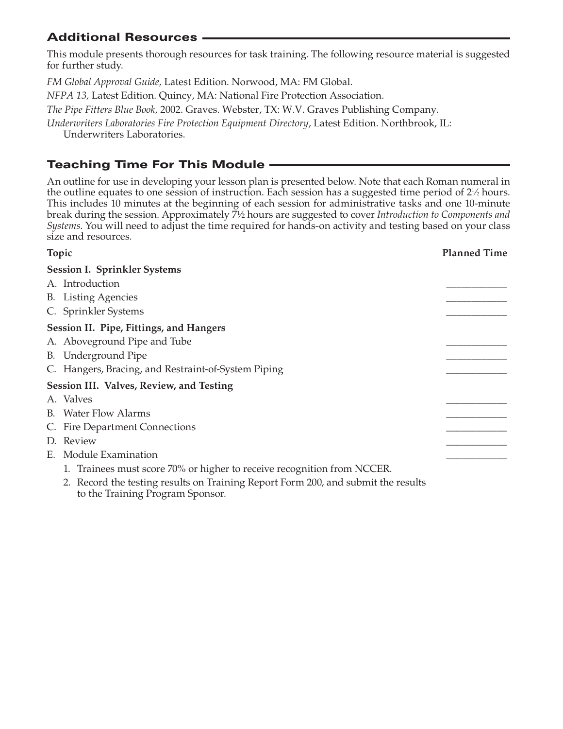# Additional Resources

This module presents thorough resources for task training. The following resource material is suggested for further study.

*FM Global Approval Guide,* Latest Edition. Norwood, MA: FM Global.

*NFPA 13,* Latest Edition. Quincy, MA: National Fire Protection Association.

*The Pipe Fitters Blue Book,* 2002. Graves. Webster, TX: W.V. Graves Publishing Company.

*Underwriters Laboratories Fire Protection Equipment Directory*, Latest Edition. Northbrook, IL:

Underwriters Laboratories.

# Teaching Time For This Module

An outline for use in developing your lesson plan is presented below. Note that each Roman numeral in the outline equates to one session of instruction. Each session has a suggested time period of  $2\frac{1}{2}$  hours. This includes 10 minutes at the beginning of each session for administrative tasks and one 10-minute break during the session. Approximately 7½ hours are suggested to cover *Introduction to Components and Systems*. You will need to adjust the time required for hands-on activity and testing based on your class size and resources.

| Topic                                                                                                                 | <b>Planned Time</b> |
|-----------------------------------------------------------------------------------------------------------------------|---------------------|
| <b>Session I. Sprinkler Systems</b>                                                                                   |                     |
| A. Introduction                                                                                                       |                     |
| <b>B.</b> Listing Agencies                                                                                            |                     |
| C. Sprinkler Systems                                                                                                  |                     |
| Session II. Pipe, Fittings, and Hangers                                                                               |                     |
| A. Aboveground Pipe and Tube                                                                                          |                     |
| B. Underground Pipe                                                                                                   |                     |
| C. Hangers, Bracing, and Restraint-of-System Piping                                                                   |                     |
| Session III. Valves, Review, and Testing                                                                              |                     |
| A. Valves                                                                                                             |                     |
| <b>B.</b> Water Flow Alarms                                                                                           |                     |
| C. Fire Department Connections                                                                                        |                     |
| D. Review                                                                                                             |                     |
| E. Module Examination                                                                                                 |                     |
| 1. Trainees must score 70% or higher to receive recognition from NCCER.                                               |                     |
| 2. Record the testing results on Training Report Form 200, and submit the results<br>to the Training Program Sponsor. |                     |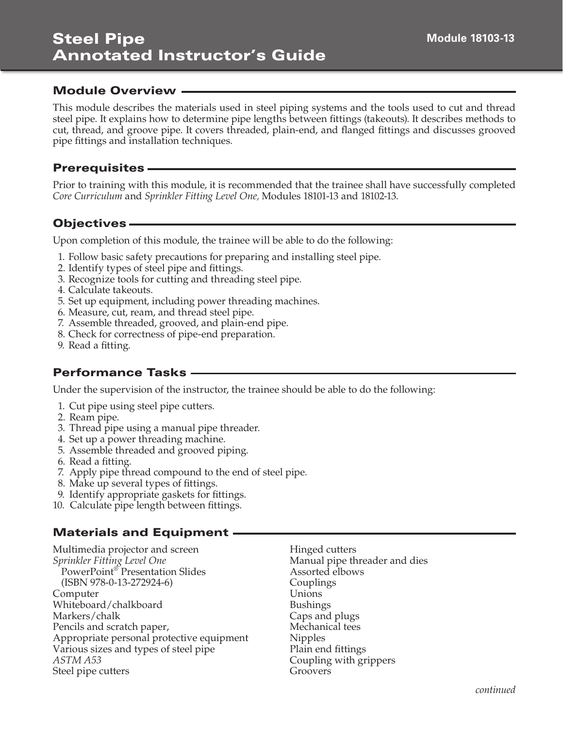### Module Overview

This module describes the materials used in steel piping systems and the tools used to cut and thread steel pipe. It explains how to determine pipe lengths between fittings (takeouts). It describes methods to cut, thread, and groove pipe. It covers threaded, plain-end, and flanged fittings and discusses grooved pipe fittings and installation techniques.

#### **Prerequisites -**

Prior to training with this module, it is recommended that the trainee shall have successfully completed *Core Curriculum* and *Sprinkler Fitting Level One,* Modules 18101-13 and 18102-13.

# Objectives

Upon completion of this module, the trainee will be able to do the following:

- 1. Follow basic safety precautions for preparing and installing steel pipe.
- 2. Identify types of steel pipe and fittings.
- 3. Recognize tools for cutting and threading steel pipe.
- 4. Calculate takeouts.
- 5. Set up equipment, including power threading machines.
- 6. Measure, cut, ream, and thread steel pipe.
- 7. Assemble threaded, grooved, and plain-end pipe.
- 8. Check for correctness of pipe-end preparation.
- 9. Read a fitting.

# Performance Tasks

Under the supervision of the instructor, the trainee should be able to do the following:

- 1. Cut pipe using steel pipe cutters.
- 2. Ream pipe.
- 3. Thread pipe using a manual pipe threader.
- 4. Set up a power threading machine.
- 5. Assemble threaded and grooved piping.
- 6. Read a fitting.
- 7. Apply pipe thread compound to the end of steel pipe.
- 8. Make up several types of fittings.
- 9. Identify appropriate gaskets for fittings.
- 10. Calculate pipe length between fittings.

### Materials and Equipment

Multimedia projector and screen *Sprinkler Fitting Level One* PowerPoint® Presentation Slides (ISBN 978-0-13-272924-6) Computer Whiteboard/chalkboard Markers/chalk Pencils and scratch paper, Appropriate personal protective equipment Various sizes and types of steel pipe *ASTM A53* Steel pipe cutters

Hinged cutters Manual pipe threader and dies Assorted elbows Couplings Unions Bushings Caps and plugs Mechanical tees Nipples Plain end fittings Coupling with grippers Groovers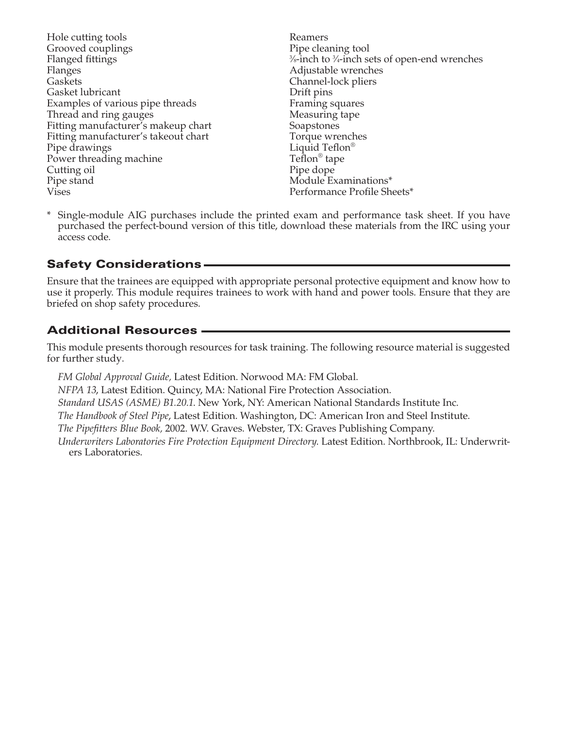- Hole cutting tools Grooved couplings Flanged fittings Flanges Gaskets Gasket lubricant Examples of various pipe threads Thread and ring gauges Fitting manufacturer's makeup chart Fitting manufacturer's takeout chart Pipe drawings Power threading machine Cutting oil Pipe stand Vises
- Reamers Pipe cleaning tool 3 ⁄8-inch to 3 ⁄4-inch sets of open-end wrenches Adjustable wrenches Channel-lock pliers Drift pins Framing squares Measuring tape Soapstones Torque wrenches Liquid Teflon® Teflon® tape Pipe dope Module Examinations\* Performance Profile Sheets\*
- \* Single-module AIG purchases include the printed exam and performance task sheet. If you have purchased the perfect-bound version of this title, download these materials from the IRC using your access code.

# Safety Considerations

Ensure that the trainees are equipped with appropriate personal protective equipment and know how to use it properly. This module requires trainees to work with hand and power tools. Ensure that they are briefed on shop safety procedures.

# Additional Resources

This module presents thorough resources for task training. The following resource material is suggested for further study.

*FM Global Approval Guide,* Latest Edition. Norwood MA: FM Global. *NFPA 13*, Latest Edition. Quincy, MA: National Fire Protection Association. *Standard USAS (ASME) B1.20.1*. New York, NY: American National Standards Institute Inc. *The Handbook of Steel Pipe*, Latest Edition. Washington, DC: American Iron and Steel Institute. *The Pipefitters Blue Book,* 2002. W.V. Graves. Webster, TX: Graves Publishing Company. *Underwriters Laboratories Fire Protection Equipment Directory*. Latest Edition. Northbrook, IL: Underwriters Laboratories.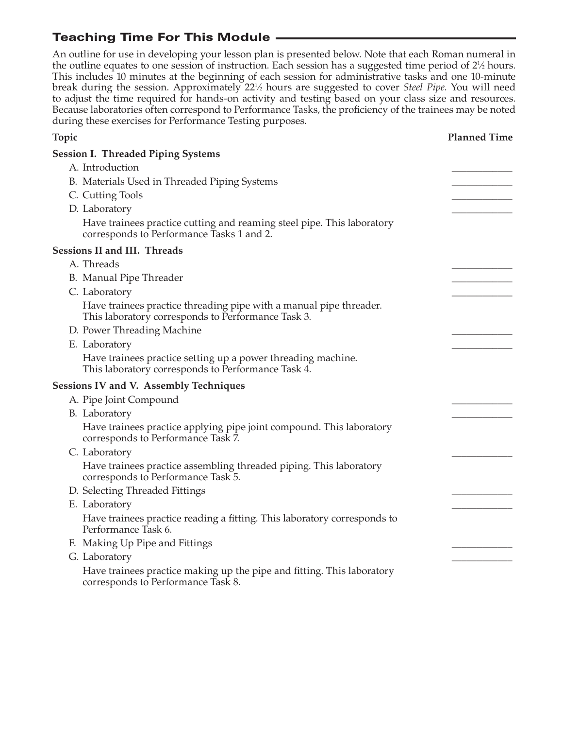# Teaching Time For This Module

An outline for use in developing your lesson plan is presented below. Note that each Roman numeral in the outline equates to one session of instruction. Each session has a suggested time period of 2<sup>1</sup>/<sub>2</sub> hours. This includes 10 minutes at the beginning of each session for administrative tasks and one 10-minute break during the session. Approximately 221 ⁄2 hours are suggested to cover *Steel Pipe*. You will need to adjust the time required for hands-on activity and testing based on your class size and resources. Because laboratories often correspond to Performance Tasks, the proficiency of the trainees may be noted during these exercises for Performance Testing purposes.

| Topic                                                                                                                    | <b>Planned Time</b> |
|--------------------------------------------------------------------------------------------------------------------------|---------------------|
| <b>Session I. Threaded Piping Systems</b>                                                                                |                     |
| A. Introduction                                                                                                          |                     |
| B. Materials Used in Threaded Piping Systems                                                                             |                     |
| C. Cutting Tools                                                                                                         |                     |
| D. Laboratory                                                                                                            |                     |
| Have trainees practice cutting and reaming steel pipe. This laboratory<br>corresponds to Performance Tasks 1 and 2.      |                     |
| <b>Sessions II and III. Threads</b>                                                                                      |                     |
| A. Threads                                                                                                               |                     |
| B. Manual Pipe Threader                                                                                                  |                     |
| C. Laboratory                                                                                                            |                     |
| Have trainees practice threading pipe with a manual pipe threader.<br>This laboratory corresponds to Performance Task 3. |                     |
| D. Power Threading Machine                                                                                               |                     |
| E. Laboratory                                                                                                            |                     |
| Have trainees practice setting up a power threading machine.<br>This laboratory corresponds to Performance Task 4.       |                     |
| <b>Sessions IV and V. Assembly Techniques</b>                                                                            |                     |
| A. Pipe Joint Compound                                                                                                   |                     |
| B. Laboratory                                                                                                            |                     |
| Have trainees practice applying pipe joint compound. This laboratory<br>corresponds to Performance Task 7.               |                     |
| C. Laboratory                                                                                                            |                     |
| Have trainees practice assembling threaded piping. This laboratory<br>corresponds to Performance Task 5.                 |                     |
| D. Selecting Threaded Fittings                                                                                           |                     |
| E. Laboratory                                                                                                            |                     |
| Have trainees practice reading a fitting. This laboratory corresponds to<br>Performance Task 6.                          |                     |
| F. Making Up Pipe and Fittings                                                                                           |                     |
| G. Laboratory                                                                                                            |                     |
| Have trainees practice making up the pipe and fitting. This laboratory<br>corresponds to Performance Task 8.             |                     |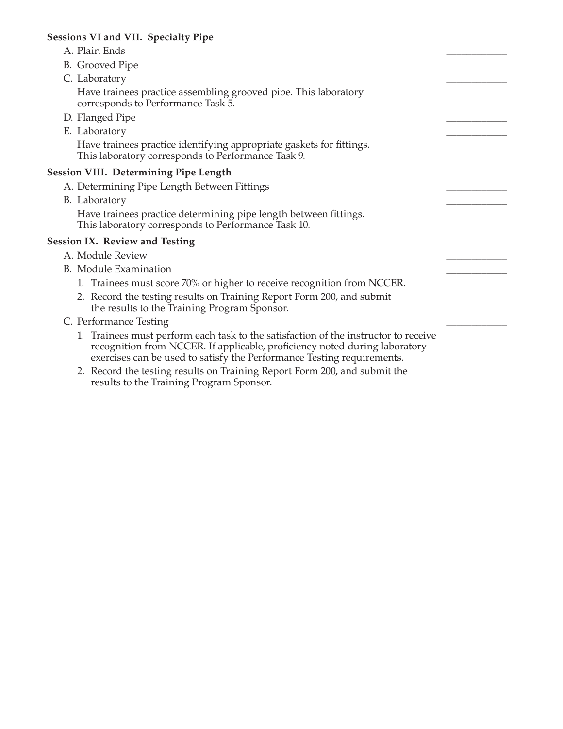#### **Sessions VI and VII. Specialty Pipe**

- A. Plain Ends B. Grooved Pipe C. Laboratory Have trainees practice assembling grooved pipe. This laboratory corresponds to Performance Task 5. D. Flanged Pipe E. Laboratory Have trainees practice identifying appropriate gaskets for fittings. This laboratory corresponds to Performance Task 9. **Session VIII. Determining Pipe Length** A. Determining Pipe Length Between Fittings B. Laboratory
	- Have trainees practice determining pipe length between fittings. This laboratory corresponds to Performance Task 10.

#### **Session IX. Review and Testing**

- A. Module Review
- B. Module Examination
	- 1. Trainees must score 70% or higher to receive recognition from NCCER.
	- 2. Record the testing results on Training Report Form 200, and submit the results to the Training Program Sponsor.
- C. Performance Testing
	- 1. Trainees must perform each task to the satisfaction of the instructor to receive recognition from NCCER. If applicable, proficiency noted during laboratory exercises can be used to satisfy the Performance Testing requirements.
	- 2. Record the testing results on Training Report Form 200, and submit the results to the Training Program Sponsor.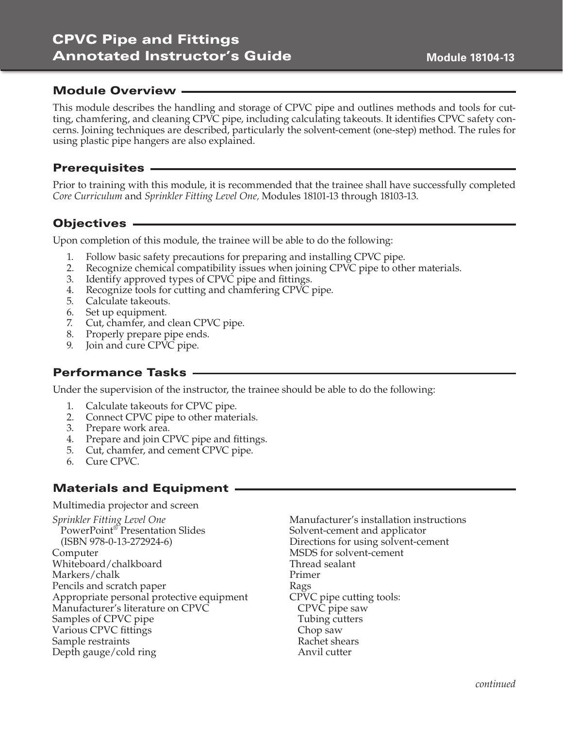# CPVC Pipe and Fittings Annotated Instructor's Guide

### Module Overview

This module describes the handling and storage of CPVC pipe and outlines methods and tools for cutting, chamfering, and cleaning CPVC pipe, including calculating takeouts. It identifies CPVC safety concerns. Joining techniques are described, particularly the solvent-cement (one-step) method. The rules for using plastic pipe hangers are also explained.

### **Prerequisites -**

Prior to training with this module, it is recommended that the trainee shall have successfully completed *Core Curriculum* and *Sprinkler Fitting Level One,* Modules 18101-13 through 18103-13.

# Objectives

Upon completion of this module, the trainee will be able to do the following:

- 1. Follow basic safety precautions for preparing and installing CPVC pipe.
- 2. Recognize chemical compatibility issues when joining CPVC pipe to other materials.
- 3. Identify approved types of CPVC pipe and fittings.
- 4. Recognize tools for cutting and chamfering CPVC pipe.
- 5. Calculate takeouts.
- 6. Set up equipment.
- 7. Cut, chamfer, and clean CPVC pipe.
- 8. Properly prepare pipe ends.
- 9. Join and cure CPVC pipe.

### Performance Tasks

Under the supervision of the instructor, the trainee should be able to do the following:

- 1. Calculate takeouts for CPVC pipe.
- 2. Connect CPVC pipe to other materials.
- 3. Prepare work area.
- 4. Prepare and join CPVC pipe and fittings.
- 5. Cut, chamfer, and cement CPVC pipe.
- 6. Cure CPVC.

# Materials and Equipment

Multimedia projector and screen

*Sprinkler Fitting Level One* PowerPoint® Presentation Slides (ISBN 978-0-13-272924-6) Computer Whiteboard/chalkboard Markers/chalk Pencils and scratch paper Appropriate personal protective equipment Manufacturer's literature on CPVC Samples of CPVC pipe Various CPVC fittings Sample restraints Depth gauge/cold ring

Manufacturer's installation instructions Solvent-cement and applicator Directions for using solvent-cement MSDS for solvent-cement Thread sealant Primer Rags CPVC pipe cutting tools: CPVC pipe saw Tubing cutters Chop saw Rachet shears Anvil cutter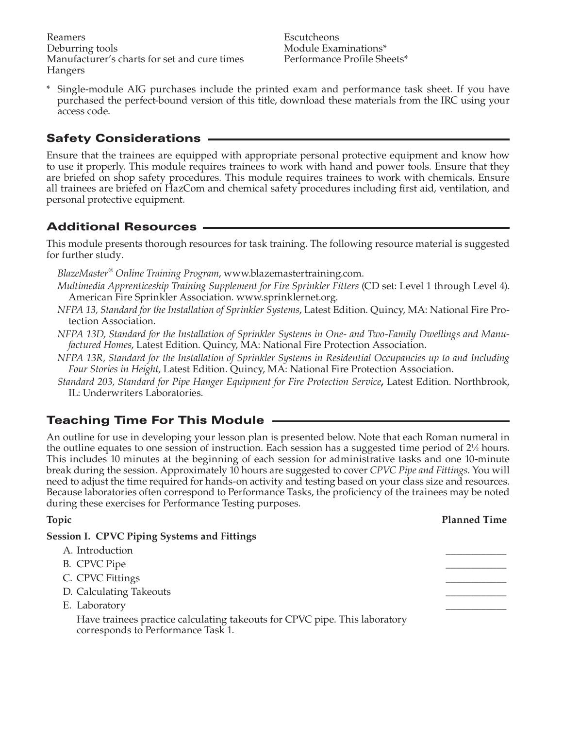Reamers Deburring tools Manufacturer's charts for set and cure times Hangers

Escutcheons Module Examinations\* Performance Profile Sheets\*

\* Single-module AIG purchases include the printed exam and performance task sheet. If you have purchased the perfect-bound version of this title, download these materials from the IRC using your access code.

# Safety Considerations

Ensure that the trainees are equipped with appropriate personal protective equipment and know how to use it properly. This module requires trainees to work with hand and power tools. Ensure that they are briefed on shop safety procedures. This module requires trainees to work with chemicals. Ensure all trainees are briefed on HazCom and chemical safety procedures including first aid, ventilation, and personal protective equipment.

# Additional Resources

This module presents thorough resources for task training. The following resource material is suggested for further study.

- *BlazeMaster® Online Training Program*, www.blazemastertraining.com.
- *Multimedia Apprenticeship Training Supplement for Fire Sprinkler Fitters* (CD set: Level 1 through Level 4). American Fire Sprinkler Association. www.sprinklernet.org.
- *NFPA 13, Standard for the Installation of Sprinkler Systems*, Latest Edition. Quincy, MA: National Fire Protection Association.
- *NFPA 13D, Standard for the Installation of Sprinkler Systems in One- and Two-Family Dwellings and Manufactured Homes*, Latest Edition. Quincy, MA: National Fire Protection Association.
- *NFPA 13R, Standard for the Installation of Sprinkler Systems in Residential Occupancies up to and Including Four Stories in Height,* Latest Edition. Quincy, MA: National Fire Protection Association.
- *Standard 203, Standard for Pipe Hanger Equipment for Fire Protection Service***,** Latest Edition. Northbrook, IL: Underwriters Laboratories.

# Teaching Time For This Module

An outline for use in developing your lesson plan is presented below. Note that each Roman numeral in the outline equates to one session of instruction. Each session has a suggested time period of  $2\frac{1}{2}$  hours. This includes 10 minutes at the beginning of each session for administrative tasks and one 10-minute break during the session. Approximately 10 hours are suggested to cover *CPVC Pipe and Fittings*. You will need to adjust the time required for hands-on activity and testing based on your class size and resources. Because laboratories often correspond to Performance Tasks, the proficiency of the trainees may be noted during these exercises for Performance Testing purposes.

| <b>Topic</b>                                                                                                     | <b>Planned Time</b> |
|------------------------------------------------------------------------------------------------------------------|---------------------|
| <b>Session I. CPVC Piping Systems and Fittings</b>                                                               |                     |
| A. Introduction                                                                                                  |                     |
| B. CPVC Pipe                                                                                                     |                     |
| C. CPVC Fittings                                                                                                 |                     |
| D. Calculating Takeouts                                                                                          |                     |
| E. Laboratory                                                                                                    |                     |
| Have trainees practice calculating takeouts for CPVC pipe. This laboratory<br>corresponds to Performance Task 1. |                     |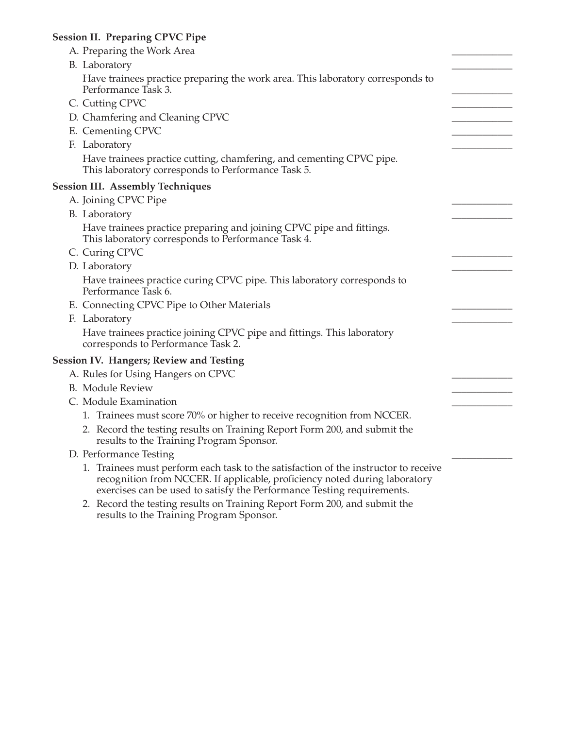### **Session II. Preparing CPVC Pipe**

| A. Preparing the Work Area                                                                                                                                                                                                                  |  |
|---------------------------------------------------------------------------------------------------------------------------------------------------------------------------------------------------------------------------------------------|--|
| B. Laboratory                                                                                                                                                                                                                               |  |
| Have trainees practice preparing the work area. This laboratory corresponds to<br>Performance Task 3.                                                                                                                                       |  |
| C. Cutting CPVC                                                                                                                                                                                                                             |  |
| D. Chamfering and Cleaning CPVC                                                                                                                                                                                                             |  |
| E. Cementing CPVC                                                                                                                                                                                                                           |  |
| F. Laboratory                                                                                                                                                                                                                               |  |
| Have trainees practice cutting, chamfering, and cementing CPVC pipe.<br>This laboratory corresponds to Performance Task 5.                                                                                                                  |  |
| <b>Session III. Assembly Techniques</b>                                                                                                                                                                                                     |  |
| A. Joining CPVC Pipe                                                                                                                                                                                                                        |  |
| B. Laboratory                                                                                                                                                                                                                               |  |
| Have trainees practice preparing and joining CPVC pipe and fittings.<br>This laboratory corresponds to Performance Task 4.                                                                                                                  |  |
| C. Curing CPVC                                                                                                                                                                                                                              |  |
| D. Laboratory                                                                                                                                                                                                                               |  |
| Have trainees practice curing CPVC pipe. This laboratory corresponds to<br>Performance Task 6.                                                                                                                                              |  |
| E. Connecting CPVC Pipe to Other Materials                                                                                                                                                                                                  |  |
| F. Laboratory                                                                                                                                                                                                                               |  |
| Have trainees practice joining CPVC pipe and fittings. This laboratory<br>corresponds to Performance Task 2.                                                                                                                                |  |
| <b>Session IV. Hangers; Review and Testing</b>                                                                                                                                                                                              |  |
| A. Rules for Using Hangers on CPVC                                                                                                                                                                                                          |  |
| <b>B.</b> Module Review                                                                                                                                                                                                                     |  |
| C. Module Examination                                                                                                                                                                                                                       |  |
| 1. Trainees must score 70% or higher to receive recognition from NCCER.                                                                                                                                                                     |  |
| 2. Record the testing results on Training Report Form 200, and submit the<br>results to the Training Program Sponsor.                                                                                                                       |  |
| D. Performance Testing                                                                                                                                                                                                                      |  |
| 1. Trainees must perform each task to the satisfaction of the instructor to receive<br>recognition from NCCER. If applicable, proficiency noted during laboratory<br>exercises can be used to satisfy the Performance Testing requirements. |  |
| 2. Record the testing results on Training Report Form 200 and submit the                                                                                                                                                                    |  |

 2. Record the testing results on Training Report Form 200, and submit the results to the Training Program Sponsor.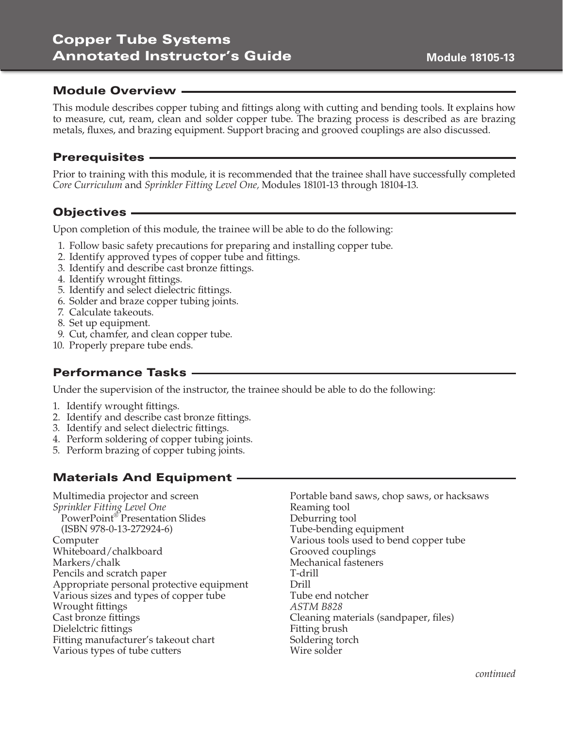# Copper Tube Systems Annotated Instructor's Guide

### Module Overview

This module describes copper tubing and fittings along with cutting and bending tools. It explains how to measure, cut, ream, clean and solder copper tube. The brazing process is described as are brazing metals, fluxes, and brazing equipment. Support bracing and grooved couplings are also discussed.

#### Prerequisites

Prior to training with this module, it is recommended that the trainee shall have successfully completed *Core Curriculum* and *Sprinkler Fitting Level One,* Modules 18101-13 through 18104-13.

### Objectives

Upon completion of this module, the trainee will be able to do the following:

- 1. Follow basic safety precautions for preparing and installing copper tube.
- 2. Identify approved types of copper tube and fittings.
- 3. Identify and describe cast bronze fittings.
- 4. Identify wrought fittings.
- 5. Identify and select dielectric fittings.
- 6. Solder and braze copper tubing joints.
- 7. Calculate takeouts.
- 8. Set up equipment.
- 9. Cut, chamfer, and clean copper tube.
- 10. Properly prepare tube ends.

### Performance Tasks

Under the supervision of the instructor, the trainee should be able to do the following:

- 1. Identify wrought fittings.
- 2. Identify and describe cast bronze fittings.
- 3. Identify and select dielectric fittings.
- 4. Perform soldering of copper tubing joints.
- 5. Perform brazing of copper tubing joints.

# Materials And Equipment

Multimedia projector and screen *Sprinkler Fitting Level One* PowerPoint® Presentation Slides (ISBN 978-0-13-272924-6) Computer Whiteboard/chalkboard Markers/chalk Pencils and scratch paper Appropriate personal protective equipment Various sizes and types of copper tube Wrought fittings Cast bronze fittings Dielelctric fittings Fitting manufacturer's takeout chart Various types of tube cutters

Portable band saws, chop saws, or hacksaws Reaming tool Deburring tool Tube-bending equipment Various tools used to bend copper tube Grooved couplings Mechanical fasteners T-drill Drill Tube end notcher *ASTM B828* Cleaning materials (sandpaper, files) Fitting brush Soldering torch Wire solder

*continued*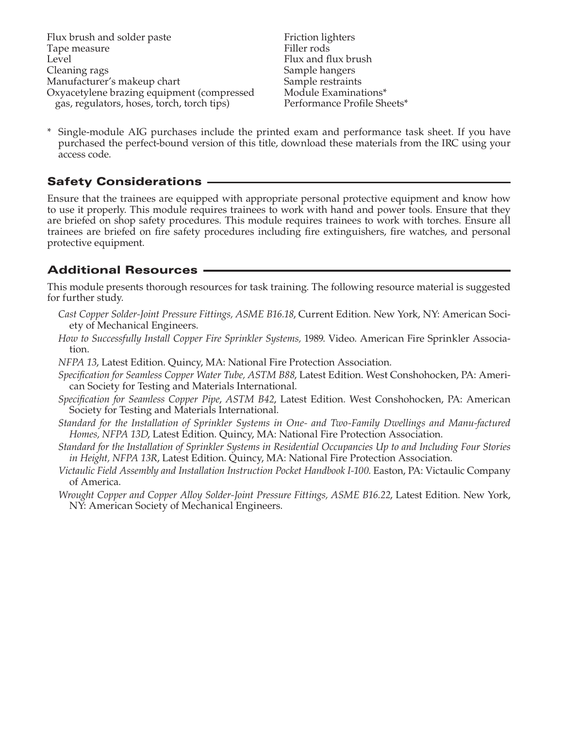Friction lighters Filler rods Flux and flux brush Sample hangers Sample restraints Module Examinations\* Performance Profile Sheets\*

\* Single-module AIG purchases include the printed exam and performance task sheet. If you have purchased the perfect-bound version of this title, download these materials from the IRC using your access code.

# Safety Considerations

Ensure that the trainees are equipped with appropriate personal protective equipment and know how to use it properly. This module requires trainees to work with hand and power tools. Ensure that they are briefed on shop safety procedures. This module requires trainees to work with torches. Ensure all trainees are briefed on fire safety procedures including fire extinguishers, fire watches, and personal protective equipment.

# Additional Resources

This module presents thorough resources for task training. The following resource material is suggested for further study.

- *Cast Copper Solder-Joint Pressure Fittings, ASME B16.18*, Current Edition. New York, NY: American Society of Mechanical Engineers.
- *How to Successfully Install Copper Fire Sprinkler Systems,* 1989. Video. American Fire Sprinkler Association.
- *NFPA 13*, Latest Edition. Quincy, MA: National Fire Protection Association.
- *Specification for Seamless Copper Water Tube, ASTM B88*, Latest Edition. West Conshohocken, PA: American Society for Testing and Materials International.
- *Specification for Seamless Copper Pipe*, *ASTM B42*, Latest Edition. West Conshohocken, PA: American Society for Testing and Materials International.
- *Standard for the Installation of Sprinkler Systems in One- and Two-Family Dwellings and Manu-factured Homes, NFPA 13D*, Latest Edition. Quincy, MA: National Fire Protection Association.
- *Standard for the Installation of Sprinkler Systems in Residential Occupancies Up to and Including Four Stories in Height, NFPA 13R*, Latest Edition. Quincy, MA: National Fire Protection Association.
- *Victaulic Field Assembly and Installation Instruction Pocket Handbook I-100*. Easton, PA: Victaulic Company of America.
- *Wrought Copper and Copper Alloy Solder-Joint Pressure Fittings, ASME B16.22*, Latest Edition. New York, NY: American Society of Mechanical Engineers.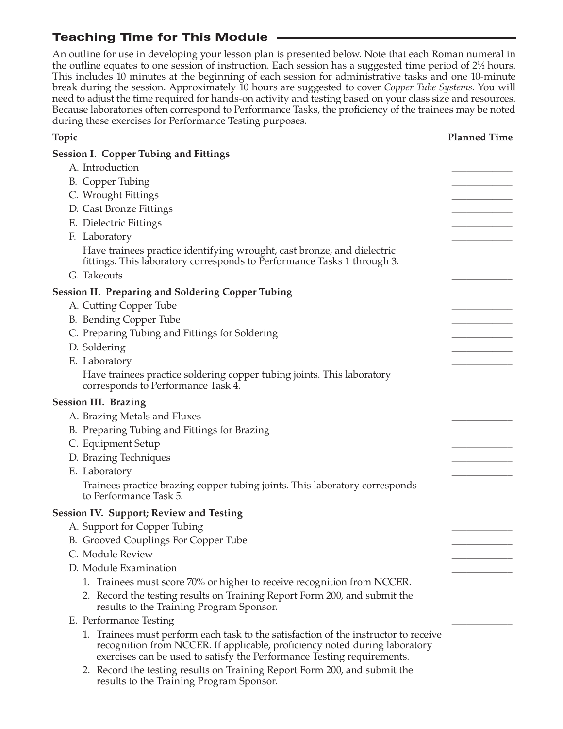# Teaching Time for This Module

An outline for use in developing your lesson plan is presented below. Note that each Roman numeral in the outline equates to one session of instruction. Each session has a suggested time period of 2<sup>1</sup>/<sub>2</sub> hours. This includes 10 minutes at the beginning of each session for administrative tasks and one 10-minute break during the session. Approximately 10 hours are suggested to cover *Copper Tube Systems*. You will need to adjust the time required for hands-on activity and testing based on your class size and resources. Because laboratories often correspond to Performance Tasks, the proficiency of the trainees may be noted during these exercises for Performance Testing purposes.

| <b>Topic</b>                                                                                                                                       | <b>Planned Time</b> |
|----------------------------------------------------------------------------------------------------------------------------------------------------|---------------------|
| <b>Session I. Copper Tubing and Fittings</b>                                                                                                       |                     |
| A. Introduction                                                                                                                                    |                     |
| B. Copper Tubing                                                                                                                                   |                     |
| C. Wrought Fittings                                                                                                                                |                     |
| D. Cast Bronze Fittings                                                                                                                            |                     |
| E. Dielectric Fittings                                                                                                                             |                     |
| F. Laboratory                                                                                                                                      |                     |
| Have trainees practice identifying wrought, cast bronze, and dielectric<br>fittings. This laboratory corresponds to Performance Tasks 1 through 3. |                     |
| G. Takeouts                                                                                                                                        |                     |
| <b>Session II. Preparing and Soldering Copper Tubing</b>                                                                                           |                     |
| A. Cutting Copper Tube                                                                                                                             |                     |
| B. Bending Copper Tube                                                                                                                             |                     |
| C. Preparing Tubing and Fittings for Soldering                                                                                                     |                     |
| D. Soldering                                                                                                                                       |                     |
| E. Laboratory                                                                                                                                      |                     |
| Have trainees practice soldering copper tubing joints. This laboratory<br>corresponds to Performance Task 4.                                       |                     |
| <b>Session III. Brazing</b>                                                                                                                        |                     |
| A. Brazing Metals and Fluxes                                                                                                                       |                     |
| B. Preparing Tubing and Fittings for Brazing                                                                                                       |                     |
| C. Equipment Setup                                                                                                                                 |                     |
| D. Brazing Techniques                                                                                                                              |                     |
| E. Laboratory                                                                                                                                      |                     |
| Trainees practice brazing copper tubing joints. This laboratory corresponds<br>to Performance Task 5.                                              |                     |
| <b>Session IV. Support; Review and Testing</b>                                                                                                     |                     |
| A. Support for Copper Tubing                                                                                                                       |                     |
| B. Grooved Couplings For Copper Tube                                                                                                               |                     |
| C. Module Review                                                                                                                                   |                     |
| D. Module Examination                                                                                                                              |                     |

- 1. Trainees must score 70% or higher to receive recognition from NCCER.
- 2. Record the testing results on Training Report Form 200, and submit the results to the Training Program Sponsor.
- E. Performance Testing
	- 1. Trainees must perform each task to the satisfaction of the instructor to receive recognition from NCCER. If applicable, proficiency noted during laboratory exercises can be used to satisfy the Performance Testing requirements.
	- 2. Record the testing results on Training Report Form 200, and submit the results to the Training Program Sponsor.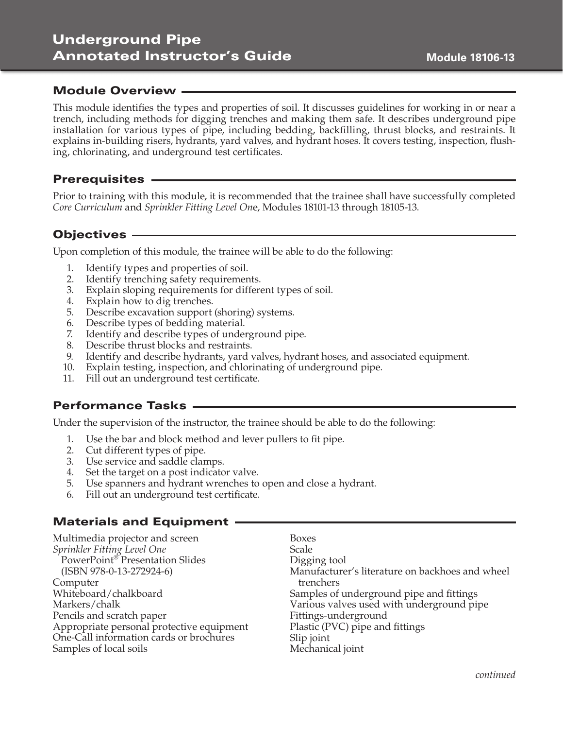# Underground Pipe Annotated Instructor's Guide

### Module Overview

This module identifies the types and properties of soil. It discusses guidelines for working in or near a trench, including methods for digging trenches and making them safe. It describes underground pipe installation for various types of pipe, including bedding, backfilling, thrust blocks, and restraints. It explains in-building risers, hydrants, yard valves, and hydrant hoses. It covers testing, inspection, flushing, chlorinating, and underground test certificates.

#### Prerequisites

Prior to training with this module, it is recommended that the trainee shall have successfully completed *Core Curriculum* and *Sprinkler Fitting Level On*e, Modules 18101-13 through 18105-13.

### Objectives

Upon completion of this module, the trainee will be able to do the following:

- 1. Identify types and properties of soil.
- 2. Identify trenching safety requirements.
- 3. Explain sloping requirements for different types of soil.
- 4. Explain how to dig trenches.
- 5. Describe excavation support (shoring) systems.
- 6. Describe types of bedding material.
- 7. Identify and describe types of underground pipe.
- 8. Describe thrust blocks and restraints.
- 9. Identify and describe hydrants, yard valves, hydrant hoses, and associated equipment.
- 10. Explain testing, inspection, and chlorinating of underground pipe.
- 11. Fill out an underground test certificate.

### Performance Tasks

Under the supervision of the instructor, the trainee should be able to do the following:

- 1. Use the bar and block method and lever pullers to fit pipe.
- 2. Cut different types of pipe.
- 3. Use service and saddle clamps.
- 4. Set the target on a post indicator valve.
- 5. Use spanners and hydrant wrenches to open and close a hydrant.
- 6. Fill out an underground test certificate.

# Materials and Equipment

Multimedia projector and screen *Sprinkler Fitting Level One* PowerPoint® Presentation Slides (ISBN 978-0-13-272924-6) Computer Whiteboard/chalkboard Markers/chalk Pencils and scratch paper Appropriate personal protective equipment One-Call information cards or brochures Samples of local soils

Boxes Scale Digging tool Manufacturer's literature on backhoes and wheel trenchers Samples of underground pipe and fittings Various valves used with underground pipe Fittings-underground Plastic (PVC) pipe and fittings Slip joint Mechanical joint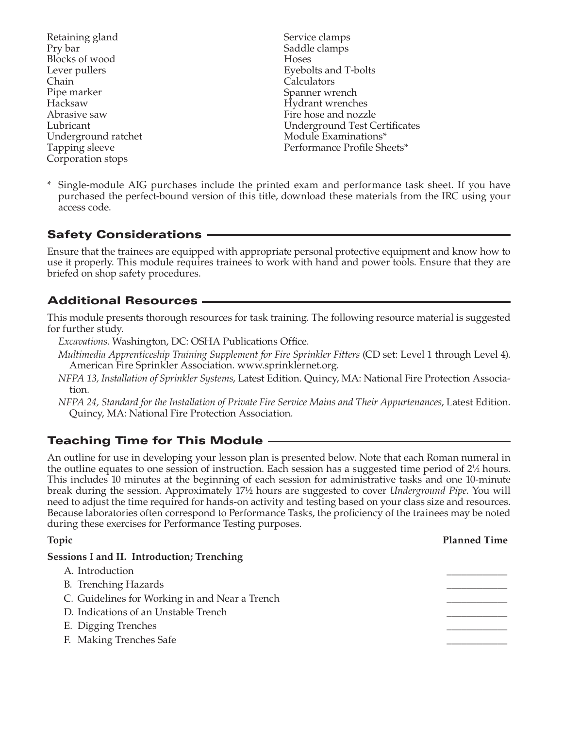Retaining gland Pry bar Blocks of wood Lever pullers Chain Pipe marker Hacksaw Abrasive saw Lubricant Underground ratchet Tapping sleeve Corporation stops

- Service clamps Saddle clamps Hoses Eyebolts and T-bolts Calculators Spanner wrench Hydrant wrenches Fire hose and nozzle Underground Test Certificates Module Examinations\* Performance Profile Sheets\*
- Single-module AIG purchases include the printed exam and performance task sheet. If you have purchased the perfect-bound version of this title, download these materials from the IRC using your access code.

# Safety Considerations

Ensure that the trainees are equipped with appropriate personal protective equipment and know how to use it properly. This module requires trainees to work with hand and power tools. Ensure that they are briefed on shop safety procedures.

### Additional Resources

This module presents thorough resources for task training. The following resource material is suggested for further study.

*Excavations*. Washington, DC: OSHA Publications Office.

- *Multimedia Apprenticeship Training Supplement for Fire Sprinkler Fitters* (CD set: Level 1 through Level 4). American Fire Sprinkler Association. www.sprinklernet.org.
- *NFPA 13, Installation of Sprinkler Systems*, Latest Edition. Quincy, MA: National Fire Protection Association.
- *NFPA 24, Standard for the Installation of Private Fire Service Mains and Their Appurtenances*, Latest Edition. Quincy, MA: National Fire Protection Association.

# Teaching Time for This Module

An outline for use in developing your lesson plan is presented below. Note that each Roman numeral in the outline equates to one session of instruction. Each session has a suggested time period of 2<sup>1</sup>/<sub>2</sub> hours. This includes 10 minutes at the beginning of each session for administrative tasks and one 10-minute break during the session. Approximately 17½ hours are suggested to cover *Underground Pipe*. You will need to adjust the time required for hands-on activity and testing based on your class size and resources. Because laboratories often correspond to Performance Tasks, the proficiency of the trainees may be noted during these exercises for Performance Testing purposes.

| <b>Topic</b>                                   | <b>Planned Time</b> |
|------------------------------------------------|---------------------|
| Sessions I and II. Introduction; Trenching     |                     |
| A. Introduction                                |                     |
| <b>B.</b> Trenching Hazards                    |                     |
| C. Guidelines for Working in and Near a Trench |                     |
| D. Indications of an Unstable Trench           |                     |
| E. Digging Trenches                            |                     |
| F. Making Trenches Safe                        |                     |
|                                                |                     |